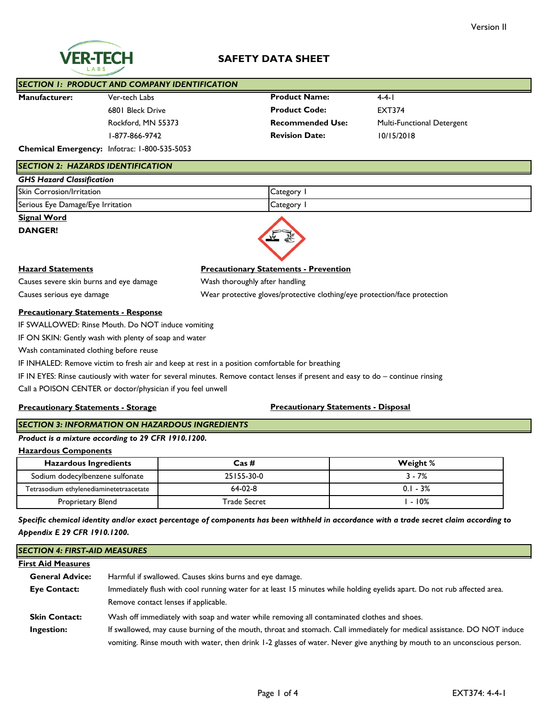# **SAFETY DATA SHEET**

| <b>SECTION 1: PRODUCT AND COMPANY IDENTIFICATION</b> |                                                     |                         |                            |
|------------------------------------------------------|-----------------------------------------------------|-------------------------|----------------------------|
| <b>Manufacturer:</b>                                 | Ver-tech Labs                                       | <b>Product Name:</b>    | $4 - 4 - 1$                |
|                                                      | 6801 Bleck Drive                                    | <b>Product Code:</b>    | <b>EXT374</b>              |
|                                                      | Rockford, MN 55373                                  | <b>Recommended Use:</b> | Multi-Functional Detergent |
|                                                      | I-877-866-9742                                      | <b>Revision Date:</b>   | 10/15/2018                 |
|                                                      | <b>Chemical Emergency:</b> Infotrac: 1-800-535-5053 |                         |                            |

## *SECTION 2: HAZARDS IDENTIFICATION*

| <b>GHS Hazard Classification</b>  |                                            |  |
|-----------------------------------|--------------------------------------------|--|
| <b>Skin Corrosion/Irritation</b>  | Category                                   |  |
| Serious Eye Damage/Eye Irritation | $\left\langle \text{ategory}\right\rangle$ |  |

## **Signal Word**

**DANGER!**

## **Hazard Statements Precautionary Statements - Prevention**

Causes severe skin burns and eye damage Wash thoroughly after handling Causes serious eye damage Wear protective gloves/protective clothing/eye protection/face protection

#### **Precautionary Statements - Response**

IF SWALLOWED: Rinse Mouth. Do NOT induce vomiting

IF ON SKIN: Gently wash with plenty of soap and water

Wash contaminated clothing before reuse

IF INHALED: Remove victim to fresh air and keep at rest in a position comfortable for breathing

IF IN EYES: Rinse cautiously with water for several minutes. Remove contact lenses if present and easy to do – continue rinsing

Call a POISON CENTER or doctor/physician if you feel unwell

#### **Precautionary Statements - Storage**

## **Precautionary Statements - Disposal**

# *SECTION 3: INFORMATION ON HAZARDOUS INGREDIENTS*

## *Product is a mixture according to 29 CFR 1910.1200.*

**Hazardous Components**

| <b>Hazardous Ingredients</b>            | $\text{Cas}\,\#$ | Weight %   |
|-----------------------------------------|------------------|------------|
| Sodium dodecylbenzene sulfonate         | 25155-30-0       | $3 - 7%$   |
| Tetrasodium ethylenediaminetetraacetate | $64-02-8$        | $0.1 - 3%$ |
| Proprietary Blend                       | Trade Secret     | $-10\%$    |

*Specific chemical identity and/or exact percentage of components has been withheld in accordance with a trade secret claim according to Appendix E 29 CFR 1910.1200.*

## *SECTION 4: FIRST-AID MEASURES*

| <b>First Aid Measures</b> |                                                                                                                           |
|---------------------------|---------------------------------------------------------------------------------------------------------------------------|
| <b>General Advice:</b>    | Harmful if swallowed. Causes skins burns and eye damage.                                                                  |
| <b>Eye Contact:</b>       | Immediately flush with cool running water for at least 15 minutes while holding eyelids apart. Do not rub affected area.  |
|                           | Remove contact lenses if applicable.                                                                                      |
| <b>Skin Contact:</b>      | Wash off immediately with soap and water while removing all contaminated clothes and shoes.                               |
| Ingestion:                | If swallowed, may cause burning of the mouth, throat and stomach. Call immediately for medical assistance. DO NOT induce  |
|                           | vomiting. Rinse mouth with water, then drink 1-2 glasses of water. Never give anything by mouth to an unconscious person. |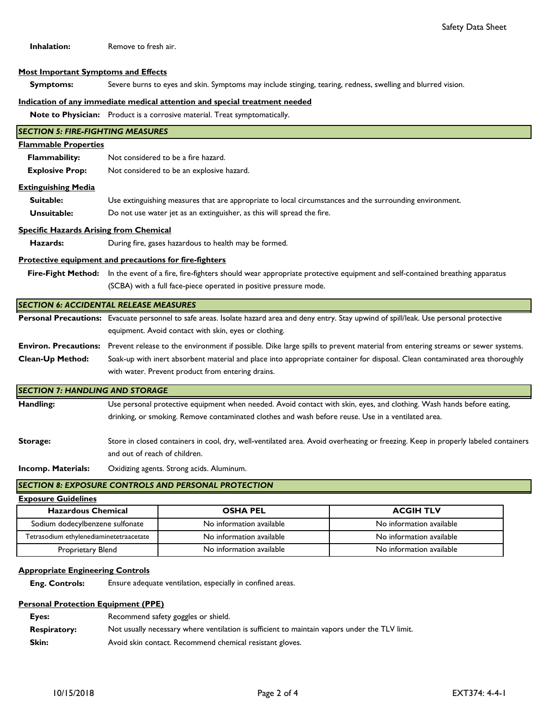**Inhalation:** Remove to fresh air.

#### **Most Important Symptoms and Effects**

 **Symptoms:** Severe burns to eyes and skin. Symptoms may include stinging, tearing, redness, swelling and blurred vision.

# **Indication of any immediate medical attention and special treatment needed**

**Note to Physician:** Product is a corrosive material. Treat symptomatically.

| <b>SECTION 5: FIRE-FIGHTING MEASURES</b>      |                                                                                                                                                     |
|-----------------------------------------------|-----------------------------------------------------------------------------------------------------------------------------------------------------|
| <b>Flammable Properties</b>                   |                                                                                                                                                     |
| Flammability:                                 | Not considered to be a fire hazard.                                                                                                                 |
| <b>Explosive Prop:</b>                        | Not considered to be an explosive hazard.                                                                                                           |
| <b>Extinguishing Media</b>                    |                                                                                                                                                     |
| Suitable:                                     | Use extinguishing measures that are appropriate to local circumstances and the surrounding environment.                                             |
| Unsuitable:                                   | Do not use water jet as an extinguisher, as this will spread the fire.                                                                              |
| <b>Specific Hazards Arising from Chemical</b> |                                                                                                                                                     |
| Hazards:                                      | During fire, gases hazardous to health may be formed.                                                                                               |
|                                               | <b>Protective equipment and precautions for fire-fighters</b>                                                                                       |
|                                               | Fire-Fight Method: In the event of a fire, fire-fighters should wear appropriate protective equipment and self-contained breathing apparatus        |
|                                               | (SCBA) with a full face-piece operated in positive pressure mode.                                                                                   |
|                                               | <b>SECTION 6: ACCIDENTAL RELEASE MEASURES</b>                                                                                                       |
|                                               | Personal Precautions: Evacuate personnel to safe areas. Isolate hazard area and deny entry. Stay upwind of spill/leak. Use personal protective      |
|                                               | equipment. Avoid contact with skin, eyes or clothing.                                                                                               |
|                                               | Environ. Precautions: Prevent release to the environment if possible. Dike large spills to prevent material from entering streams or sewer systems. |
| Clean-Up Method:                              | Soak-up with inert absorbent material and place into appropriate container for disposal. Clean contaminated area thoroughly                         |
|                                               | with water. Prevent product from entering drains.                                                                                                   |
| <b>SECTION 7: HANDLING AND STORAGE</b>        |                                                                                                                                                     |
| Handling:                                     | Use personal protective equipment when needed. Avoid contact with skin, eyes, and clothing. Wash hands before eating,                               |
|                                               | drinking, or smoking. Remove contaminated clothes and wash before reuse. Use in a ventilated area.                                                  |
| Storage:                                      | Store in closed containers in cool, dry, well-ventilated area. Avoid overheating or freezing. Keep in properly labeled containers                   |
|                                               | and out of reach of children.                                                                                                                       |
|                                               |                                                                                                                                                     |
| <b>Incomp. Materials:</b>                     | Oxidizing agents. Strong acids. Aluminum.                                                                                                           |

## **SECTION 8: EXPOSURE CONTROLS AND PERSONAL PROTECTION**

**Exposure Guidelines**

| <b>Hazardous Chemical</b>               | <b>OSHA PEL</b>          | <b>ACGIH TLV</b>         |
|-----------------------------------------|--------------------------|--------------------------|
| Sodium dodecylbenzene sulfonate         | No information available | No information available |
| Tetrasodium ethylenediaminetetraacetate | No information available | No information available |
| Proprietary Blend                       | No information available | No information available |

## **Appropriate Engineering Controls**

 **Eng. Controls:** Ensure adequate ventilation, especially in confined areas.

## **Personal Protection Equipment (PPE)**

| Eyes:               | Recommend safety goggles or shield.                                                           |
|---------------------|-----------------------------------------------------------------------------------------------|
| <b>Respiratory:</b> | Not usually necessary where ventilation is sufficient to maintain vapors under the TLV limit. |
| Skin:               | Avoid skin contact. Recommend chemical resistant gloves.                                      |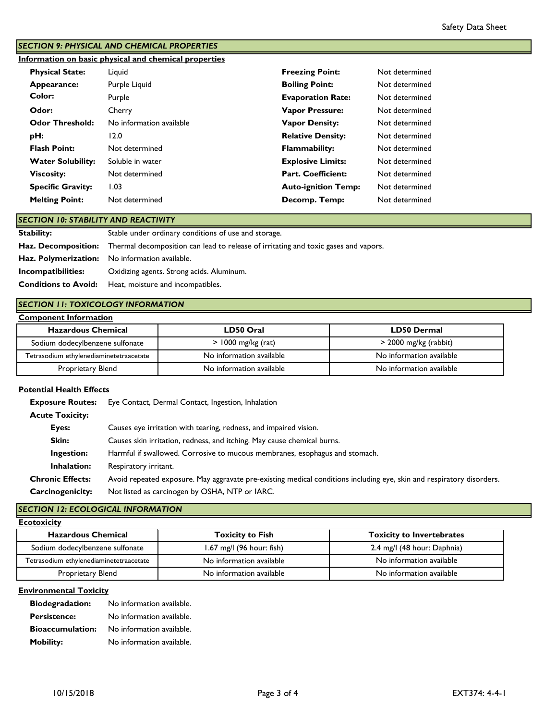# *SECTION 9: PHYSICAL AND CHEMICAL PROPERTIES*

**Information on basic physical and chemical properties**

| <b>Physical State:</b>   | Liguid                   | <b>Freezing Point:</b>     | Not determined |
|--------------------------|--------------------------|----------------------------|----------------|
| Appearance:              | Purple Liquid            | <b>Boiling Point:</b>      | Not determined |
| Color:                   | Purple                   | <b>Evaporation Rate:</b>   | Not determined |
| Odor:                    | Cherry                   | <b>Vapor Pressure:</b>     | Not determined |
| <b>Odor Threshold:</b>   | No information available | <b>Vapor Density:</b>      | Not determined |
| pH:                      | 12.0                     | <b>Relative Density:</b>   | Not determined |
| <b>Flash Point:</b>      | Not determined           | <b>Flammability:</b>       | Not determined |
| <b>Water Solubility:</b> | Soluble in water         | <b>Explosive Limits:</b>   | Not determined |
| <b>Viscosity:</b>        | Not determined           | <b>Part. Coefficient:</b>  | Not determined |
| <b>Specific Gravity:</b> | 1.03                     | <b>Auto-ignition Temp:</b> | Not determined |
| <b>Melting Point:</b>    | Not determined           | Decomp. Temp:              | Not determined |

# *SECTION 10: STABILITY AND REACTIVITY*

| <b>Stability:</b>  | Stable under ordinary conditions of use and storage.                                                           |
|--------------------|----------------------------------------------------------------------------------------------------------------|
|                    | <b>Haz. Decomposition:</b> Thermal decomposition can lead to release of irritating and toxic gases and vapors. |
|                    | Haz. Polymerization: No information available.                                                                 |
| Incompatibilities: | Oxidizing agents. Strong acids. Aluminum.                                                                      |
|                    | <b>Conditions to Avoid:</b> Heat, moisture and incompatibles.                                                  |

# *SECTION 11: TOXICOLOGY INFORMATION*

### **Component Information**

| <b>Hazardous Chemical</b>               | LD50 Oral                | <b>LD50 Dermal</b>       |
|-----------------------------------------|--------------------------|--------------------------|
| Sodium dodecylbenzene sulfonate         | $>1000$ mg/kg (rat)      | $>$ 2000 mg/kg (rabbit)  |
| Tetrasodium ethylenediaminetetraacetate | No information available | No information available |
| Proprietary Blend                       | No information available | No information available |

#### **Potential Health Effects**

 **Exposure Routes:** Eye Contact, Dermal Contact, Ingestion, Inhalation

| Eyes:                   | Causes eye irritation with tearing, redness, and impaired vision.                                                     |
|-------------------------|-----------------------------------------------------------------------------------------------------------------------|
| Skin:                   | Causes skin irritation, redness, and itching. May cause chemical burns.                                               |
| Ingestion:              | Harmful if swallowed. Corrosive to mucous membranes, esophagus and stomach.                                           |
| Inhalation:             | Respiratory irritant.                                                                                                 |
| <b>Chronic Effects:</b> | Avoid repeated exposure. May aggravate pre-existing medical conditions including eye, skin and respiratory disorders. |
| Carcinogenicity:        | Not listed as carcinogen by OSHA, NTP or IARC.                                                                        |

# *SECTION 12: ECOLOGICAL INFORMATION*

**Ecotoxicity**

| <b>Hazardous Chemical</b>               | <b>Toxicity to Fish</b>     | <b>Toxicity to Invertebrates</b> |
|-----------------------------------------|-----------------------------|----------------------------------|
| Sodium dodecylbenzene sulfonate         | $1.67$ mg/l (96 hour: fish) | 2.4 mg/l (48 hour: Daphnia)      |
| Tetrasodium ethylenediaminetetraacetate | No information available    | No information available         |
| Proprietary Blend                       | No information available    | No information available         |

## **Environmental Toxicity**

| <b>Biodegradation:</b>  | No information available. |
|-------------------------|---------------------------|
| <b>Persistence:</b>     | No information available. |
| <b>Bioaccumulation:</b> | No information available. |
| <b>Mobility:</b>        | No information available. |